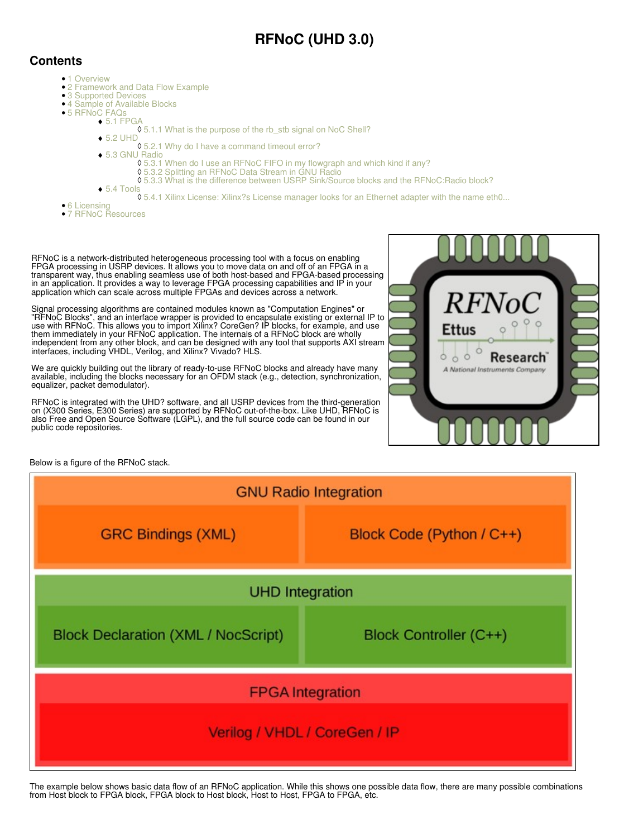# **RFNoC (UHD 3.0)**

# **Contents**

•

- 1 Overview
- 2 Framework and Data Flow Example
- 3 Supported Devices
- 4 Sample of Available Blocks
	- 5 RFNoC FAQs
		- $\bullet$  5.1 FPGA ◊ 5.1.1 What is the purpose of the rb\_stb signal on NoC Shell?
		- ◆ 5.2 UHD
			- ◊ 5.2.1 Why do I have a command timeout error?
		- 5.3 GNU Radio ♦
			- ◊ 5.3.1 When do I use an RFNoC FIFO in my flowgraph and which kind if any?
				- ◊ 5.3.2 Splitting an RFNoC Data Stream in GNU Radio ◊ 5.3.3 What is the difference between USRP Sink/Source blocks and the RFNoC:Radio block?
		- ◆ 5.4 Tools
			- ◊ 5.4.1 Xilinx License: Xilinx?s License manager looks for an Ethernet adapter with the name eth0...
- 6 Licensing
- 7 RFNoC Resources

RFNoC is a network-distributed heterogeneous processing tool with a focus on enabling FPGA processing in USRP devices. It allows you to move data on and off of an FPGA in a transparent way, thus enabling seamless use of both host-based and FPGA-based processing in an application. It provides a way to leverage FPGA processing capabilities and IP in your application which can scale across multiple FPGAs and devices across a network.

Signal processing algorithms are contained modules known as "Computation Engines" or "RFNoC Blocks", and an interface wrapper is provided to encapsulate existing or external IP to use with RFNoC. This allows you to import Xilinx? CoreGen? IP blocks, for example, and use them immediately in your RFNoC application. The internals of a RFNoC block are wholly independent from any other block, and can be designed with any tool that supports AXI stream interfaces, including VHDL, Verilog, and Xilinx? Vivado? HLS.

We are quickly building out the library of ready-to-use RFNoC blocks and already have many available, including the blocks necessary for an OFDM stack (e.g., detection, synchronization, equalizer, packet demodulator).

RFNoC is integrated with the UHD? software, and all USRP devices from the third-generation on (X300 Series, E300 Series) are supported by RFNoC out-of-the-box. Like UHD, RFNoC is also Free and Open Source Software (LGPL), and the full source code can be found in our public code repositories.

Below is a figure of the RFNoC stack.



The example below shows basic data flow of an RFNoC application. While this shows one possible data flow, there are many possible combinations from Host block to FPGA block, FPGA block to Host block, Host to Host, FPGA to FPGA, etc.

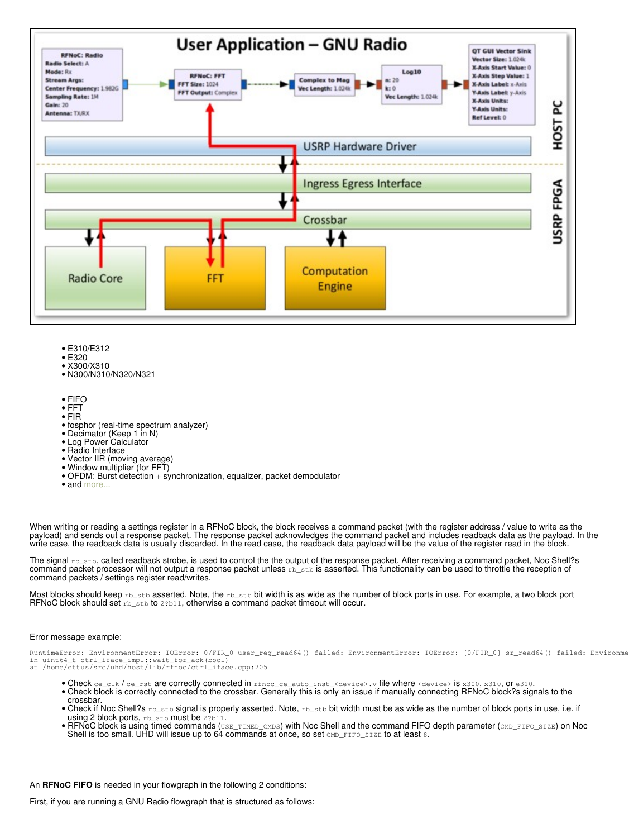

- E310/E312
- E320
- X300/X310 • N300/N310/N320/N321
- 
- FIFO
- FFT
- FIR
- fosphor (real-time spectrum analyzer)
- Decimator (Keep 1 in N)
- Log Power Calculator
- Radio Interface
- Vector IIR (moving average)
- Window multiplier (for FFT)
- OFDM: Burst detection + synchronization, equalizer, packet demodulator
- and [more...](https://github.com/EttusResearch/fpga/tree/maint/usrp3/lib/rfnoc)

When writing or reading a settings register in a RFNoC block, the block receives a command packet (with the register address / value to write as the payload) and sends out a response packet. The response packet acknowledges the command packet and includes readback data as the payload. In the write case, the readback data is usually discarded. In the read case, the readback data payload will be the value of the register read in the block.

The signal rb\_stb, called readback strobe, is used to control the the output of the response packet. After receiving a command packet, Noc Shell?s command packet processor will not output a response packet unless  $\text{rb}\_ \text{stb}$  is asserted. This functionality can be used to throttle the reception of command packets / settings register read/writes.

Most blocks should keep rb\_stb asserted. Note, the rb\_stb bit width is as wide as the number of block ports in use. For example, a two block port RFNoC block should set  $\text{rb\_stb}$  to 2?b11, otherwise a command packet timeout will occur.

#### Error message example:

RuntimeError: EnvironmentError: IOError: 0/FIR\_0 user\_reg\_read64() failed: EnvironmentError: IOError: [0/FIR\_0] sr\_read64() failed: Environme<br>in uint64\_t ctrl\_iface\_impl::wait\_for\_ack(bool)<br>at /home/ettus/src/uhd/host/lib/

- Check ce\_clk / ce\_rst are correctly connected in rfnoc\_ce\_auto\_inst\_<device>.v file where <device> is x300, x310, or e310. • Check block is correctly connected to the crossbar. Generally this is only an issue if manually connecting RFNoC block?s signals to the
- crossbar.  $\bullet$  Check if Noc Shell?s  $_{\rm rb\_stb}$  signal is properly asserted. Note,  $_{\rm rb\_stb}$  bit width must be as wide as the number of block ports in use, i.e. if using 2 block ports, rb\_stb must be 2?b11.
- $\bullet$  RFNoC block is using timed commands  $($ USE\_TIMED\_CMDS) with Noc Shell and the command FIFO depth parameter  $($ CMD\_FIFO\_SIZE) on Noc Shell is too small. UHD will issue up to  $64$  commands at once, so set CMD\_FIFO\_SIZE to at least 8.

An **RFNoC FIFO** is needed in your flowgraph in the following 2 conditions:

First, if you are running a GNU Radio flowgraph that is structured as follows: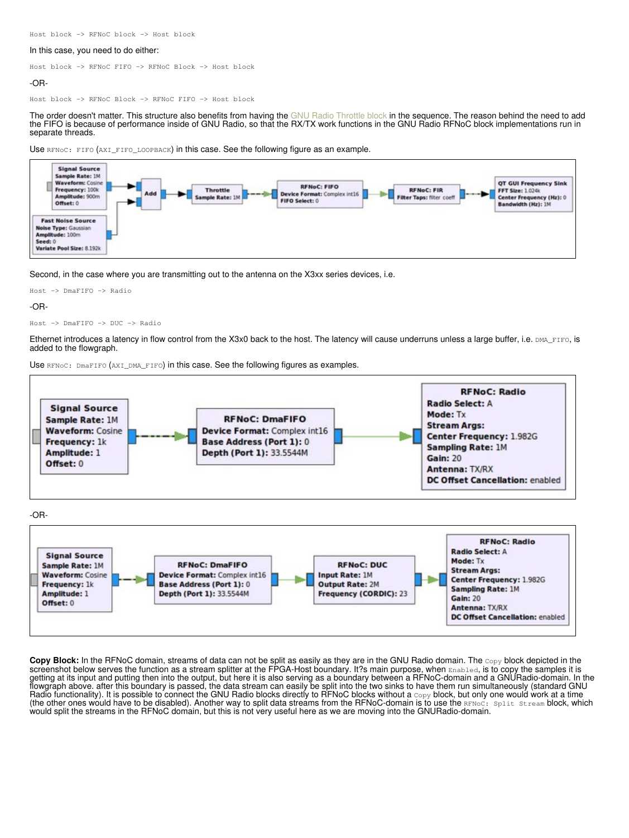Host block -> RFNoC block -> Host block

#### In this case, you need to do either:

Host block -> RFNoC FIFO -> RFNoC Block -> Host block

#### -OR-

Host block -> RFNoC Block -> RFNoC FIFO -> Host block

The order doesn't matter. This structure also benefits from having the [GNU Radio Throttle block](http://gnuradio.org/redmine/projects/gnuradio/wiki/Guided_Tutorial_GRC#243-A-Note-on-the-Throttle-Block) in the sequence. The reason behind the need to add the FIFO is because of performance inside of GNU Radio, so that the RX/TX work functions in the GNU Radio RFNoC block implementations run in separate threads.





Second, in the case where you are transmitting out to the antenna on the X3xx series devices, i.e.

```
Host -> DmaFIFO -> Radio
```
-OR-

```
Host -> DmaFIFO -> DUC -> Radio
```
Ethernet introduces a latency in flow control from the X3x0 back to the host. The latency will cause underruns unless a large buffer, i.e. DMA\_FIFO, is added to the flowgraph.

Use RFNoC: DmaFIFO (AXI\_DMA\_FIFO) in this case. See the following figures as examples.



**Copy Block:** In the RFNoC domain, streams of data can not be split as easily as they are in the GNU Radio domain. The Copy block depicted in the screenshot below serves the function as a stream splitter at the FPGA-Host boundary. It?s main purpose, when Enabled, is to copy the samples it is getting at its input and putting then into the output, but here it is also serving as a boundary between a RFNoC-domain and a GNURadio-domain. In the flowgraph above. after this boundary is passed, the data stream can easily be split into the two sinks to have them run simultaneously (standard GNU Radio functionality). It is possible to connect the GNU Radio blocks directly to RFNoC blocks without a  $\text{copy}$  block, but only one would work at a time (the other ones would have to be disabled). Another way to split data streams from the RFNoC-domain is to use the RFNoC: Split Stream block, which would split the streams in the RFNoC domain, but this is not very useful here as we are moving into the GNURadio-domain.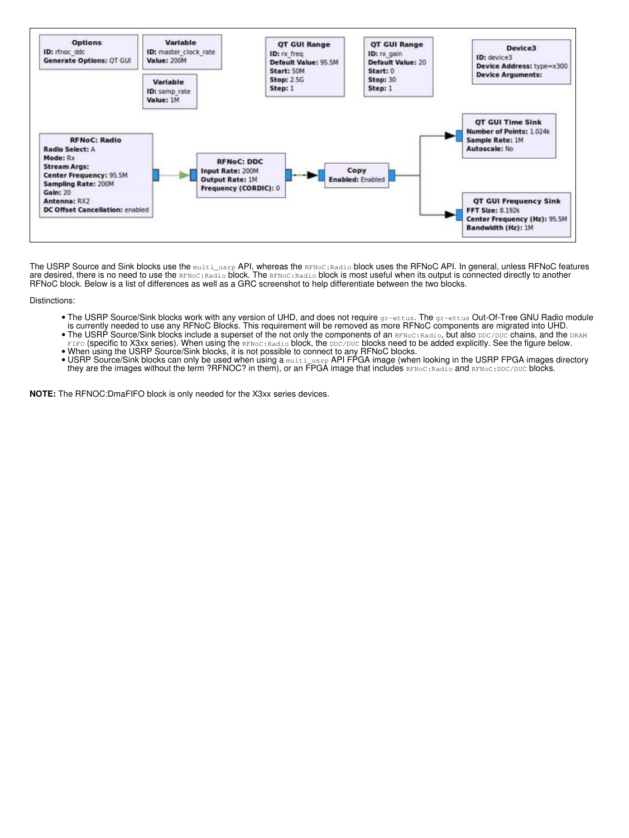

The USRP Source and Sink blocks use the multi\_usrp API, whereas the RFNoC:Radio block uses the RFNoC API. In general, unless RFNoC features are desired, there is no need to use the  $\text{\tiny RFNOC:Radio}$  block. The  $\text{\tiny RFNOC:Radio}$  block is most useful when its output is connected directly to another RFNoC block. Below is a list of differences as well as a GRC screenshot to help differentiate between the two blocks.

Distinctions:

- The USRP Source/Sink blocks work with any version of UHD, and does not require  $gr-ettus$ . The  $gr-ettus$  Out-Of-Tree GNU Radio module • The USRP Source/Sink blocks work with any version of UHD, and does not require gr−ettus. The gr−ettus Out-Of-Tree GNU Radio r<br>…is currently needed to use any RFNoC Blocks. This requirement will be removed as more RFNoC
- $\bullet$  The USRP Source/Sink blocks include a superset of the not only the components of an  $\text{\tiny RFNOC:Radio},$  but also  $\text{\tiny DDC/DUC}$  chains, and the  $\text{\tiny DRAM}$ FIFO (specific to X3xx series). When using the RFNoC: Radio block, the DDC/DUC blocks need to be added explicitly. See the figure below.
- When using the USRP Source/Sink blocks, it is not possible to connect to any RFNoC blocks.<br>● USRP Source/Sink blocks can only be used when using a multi\_usrp API FPGA image (when looking in the USRP FPGA images director they are the images without the term ?RFNOC? in them), or an FPGA image that includes RENoC:Radio and RENoC:DDC/DUC blocks.

**NOTE:** The RFNOC:DmaFIFO block is only needed for the X3xx series devices.